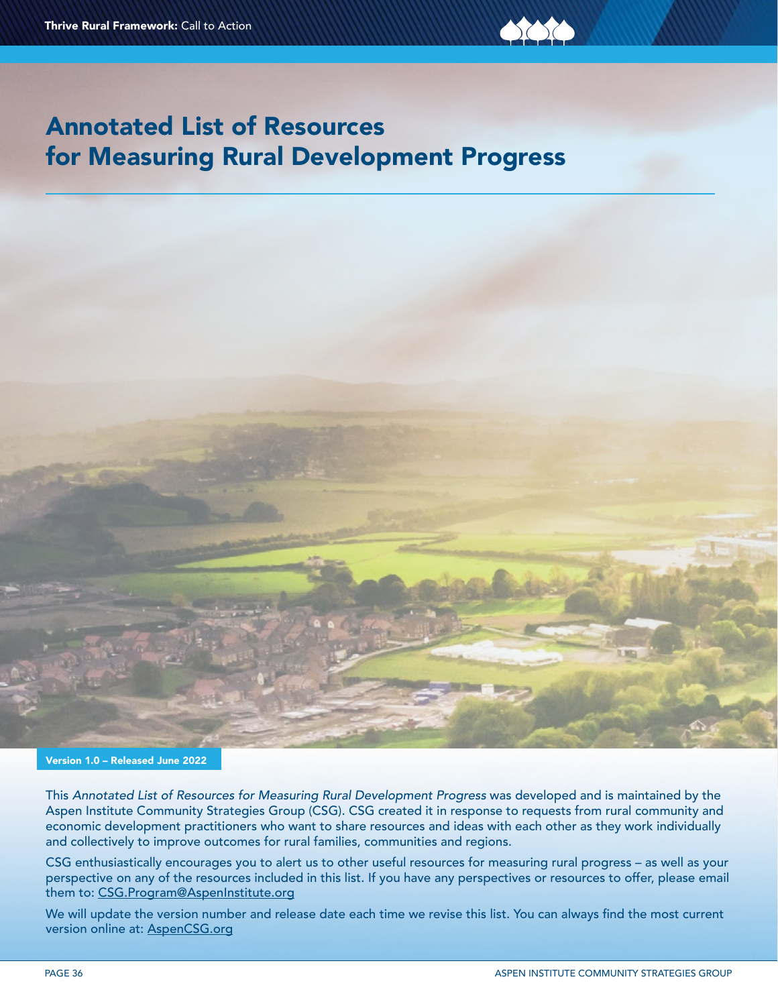



Version 1.0 – Released June 2022

This *Annotated List of Resources for Measuring Rural Development Progress* was developed and is maintained by the Aspen Institute Community Strategies Group (CSG). CSG created it in response to requests from rural community and economic development practitioners who want to share resources and ideas with each other as they work individually and collectively to improve outcomes for rural families, communities and regions.

CSG enthusiastically encourages you to alert us to other useful resources for measuring rural progress – as well as your perspective on any of the resources included in this list. If you have any perspectives or resources to offer, please email them to: [CSG.Program@AspenInstitute.org](mailto:CSG.Program%40AspenInstitute.org?subject=)

We will update the version number and release date each time we revise this list. You can always find the most current version online at: [AspenCSG.org](http://www.AspenCSG.org)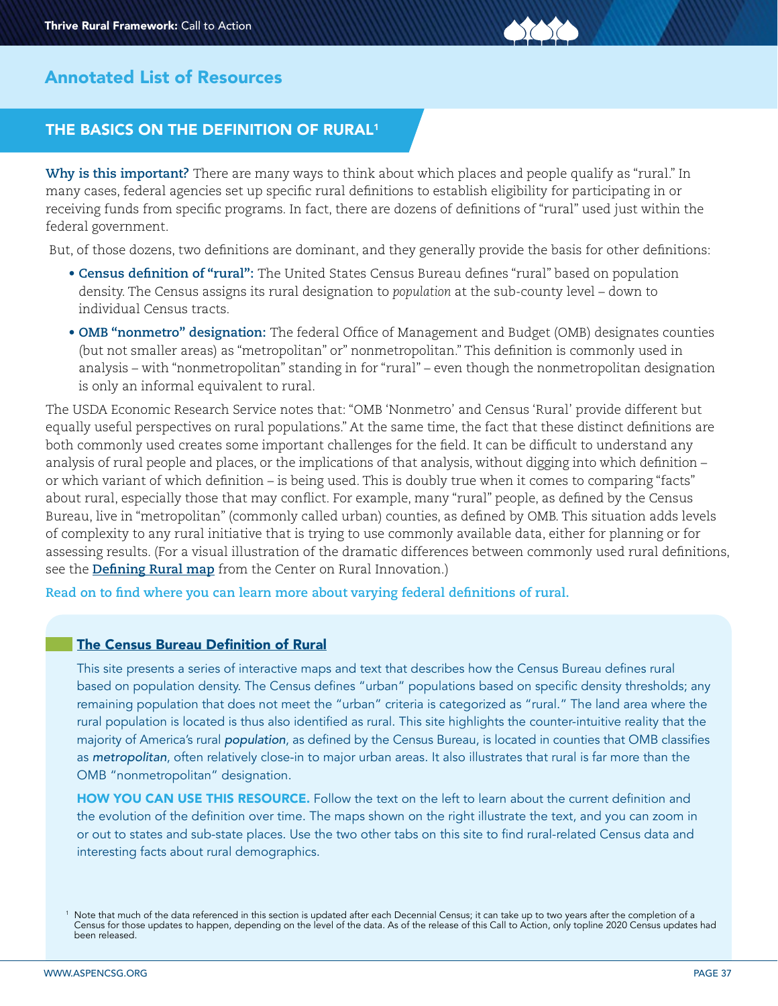

# THE BASICS ON THE DEFINITION OF RURAL<sup>1</sup>

**Why is this important?** There are many ways to think about which places and people qualify as "rural." In many cases, federal agencies set up specific rural definitions to establish eligibility for participating in or receiving funds from specific programs. In fact, there are dozens of definitions of "rural" used just within the federal government.

But, of those dozens, two definitions are dominant, and they generally provide the basis for other definitions:

- **Census definition of "rural":** The United States Census Bureau defines "rural" based on population density. The Census assigns its rural designation to *population* at the sub-county level – down to individual Census tracts.
- **OMB "nonmetro" designation:** The federal Office of Management and Budget (OMB) designates counties (but not smaller areas) as "metropolitan" or" nonmetropolitan." This definition is commonly used in analysis – with "nonmetropolitan" standing in for "rural" – even though the nonmetropolitan designation is only an informal equivalent to rural.

The USDA Economic Research Service notes that: "OMB 'Nonmetro' and Census 'Rural' provide different but equally useful perspectives on rural populations." At the same time, the fact that these distinct definitions are both commonly used creates some important challenges for the field. It can be difficult to understand any analysis of rural people and places, or the implications of that analysis, without digging into which definition – or which variant of which definition – is being used. This is doubly true when it comes to comparing "facts" about rural, especially those that may conflict. For example, many "rural" people, as defined by the Census Bureau, live in "metropolitan" (commonly called urban) counties, as defined by OMB. This situation adds levels of complexity to any rural initiative that is trying to use commonly available data, either for planning or for assessing results. (For a visual illustration of the dramatic differences between commonly used rural definitions, see the **[Defining Rural map](https://ruralinnovation.us/resources/mapping-and-data-analytics/data-for-action-map-2/
)** from the Center on Rural Innovation.)

**Read on to find where you can learn more about varying federal definitions of rural.**

#### [The Census Bureau Definition of Rural](https://mtgis-portal.geo.census.gov/arcgis/apps/MapSeries/index.html?appid=49cd4bc9c8eb444ab51218c1d5001ef6)

This [site](https://mtgis-portal.geo.census.gov/arcgis/apps/MapSeries/index.html?appid=49cd4bc9c8eb444ab51218c1d5001ef6) presents a series of interactive maps and text that describes how the Census Bureau defines rural based on population density. The Census defines "urban" populations based on specific density thresholds; any remaining population that does not meet the "urban" criteria is categorized as "rural." The land area where the rural population is located is thus also identified as rural. This site highlights the counter-intuitive reality that the majority of America's rural *population*, as defined by the Census Bureau, is located in counties that OMB classifies as *metropolitan*, often relatively close-in to major urban areas. It also illustrates that rural is far more than the OMB "nonmetropolitan" designation.

HOW YOU CAN USE THIS RESOURCE. Follow the text on the left to learn about the current definition and the evolution of the definition over time. The maps shown on the right illustrate the text, and you can zoom in or out to states and sub-state places. Use the two other tabs on this site to find rural-related Census data and interesting facts about rural demographics.

<sup>1</sup> Note that much of the data referenced in this section is updated after each Decennial Census; it can take up to two years after the completion of a Census for those updates to happen, depending on the level of the data. As of the release of this Call to Action, only topline 2020 Census updates had been released.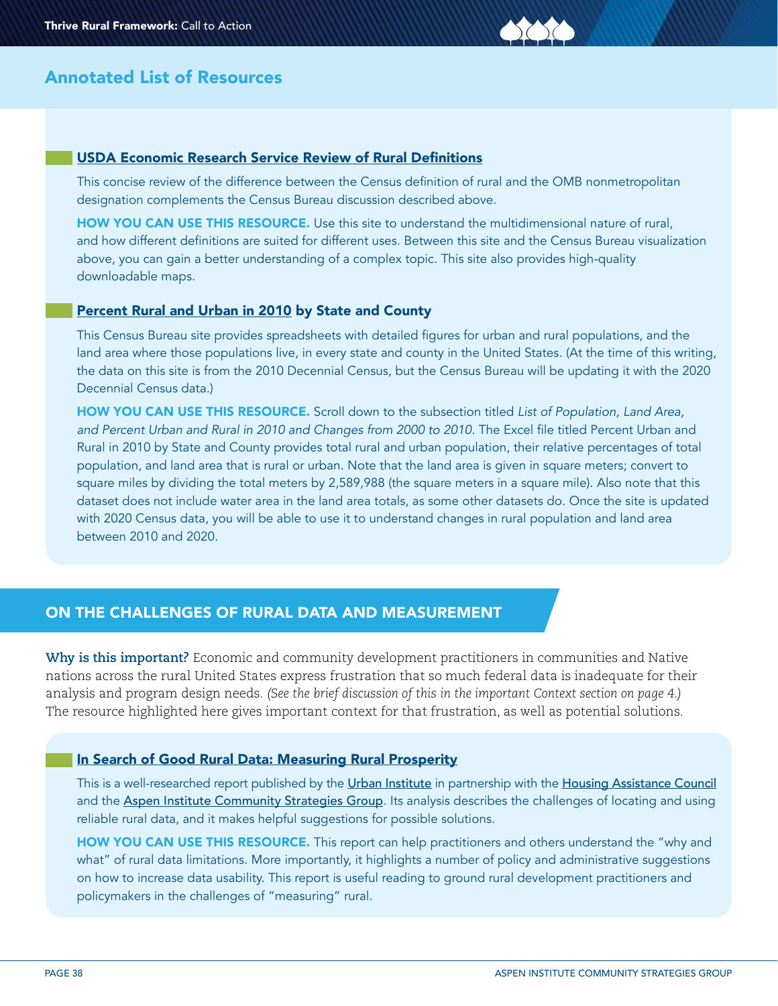#### [USDA Economic Research Service Review of Rural Definitions](https://www.ers.usda.gov/topics/rural-economy-population/rural-classifications/what-is-rural/)

This concise review of the difference between the Census definition of rural and the OMB nonmetropolitan designation complements the Census Bureau discussion described above.

HOW YOU CAN USE THIS RESOURCE. Use this site to understand the multidimensional nature of rural, and how different definitions are suited for different uses. Between this site and the Census Bureau visualization above, you can gain a better understanding of a complex topic. This site also provides high-quality downloadable maps.

#### [Percent Rural and Urban in 2010](https://www.census.gov/programs-surveys/geography/guidance/geo-areas/urban-rural/2010-urban-rural.html) by State and County

This Census Bureau site provides spreadsheets with detailed figures for urban and rural populations, and the land area where those populations live, in every state and county in the United States. (At the time of this writing, the data on this site is from the 2010 Decennial Census, but the Census Bureau will be updating it with the 2020 Decennial Census data.)

HOW YOU CAN USE THIS RESOURCE. Scroll down to the subsection titled *List of Population, Land Area, and Percent Urban and Rural in 2010 and Changes from 2000 to 2010.* The Excel file titled Percent Urban and Rural in 2010 by State and County provides total rural and urban population, their relative percentages of total population, and land area that is rural or urban. Note that the land area is given in square meters; convert to square miles by dividing the total meters by 2,589,988 (the square meters in a square mile). Also note that this dataset does not include water area in the land area totals, as some other datasets do. Once the site is updated with 2020 Census data, you will be able to use it to understand changes in rural population and land area between 2010 and 2020.

# ON THE CHALLENGES OF RURAL DATA AND MEASUREMENT

**Why is this important?** Economic and community development practitioners in communities and Native nations across the rural United States express frustration that so much federal data is inadequate for their analysis and program design needs. *(See the brief discussion of this in the important Context section on page 4.)*  The resource highlighted here gives important context for that frustration, as well as potential solutions.

#### [In Search of Good Rural Data: Measuring Rural Prosperity](https://www.urban.org/research/publication/search-good-rural-data/view/full_report)

This is a well-researched report published by the [Urban Institute](https://www.urban.org) in partnership with the [Housing Assistance Council](https://ruralhome.org) and the [Aspen Institute Community Strategies Group](https://www.aspeninstitute.org/programs/community-strategies-group/). Its analysis describes the challenges of locating and using reliable rural data, and it makes helpful suggestions for possible solutions.

HOW YOU CAN USE THIS RESOURCE. This report can help practitioners and others understand the "why and what" of rural data limitations. More importantly, it highlights a number of policy and administrative suggestions on how to increase data usability. This report is useful reading to ground rural development practitioners and policymakers in the challenges of "measuring" rural.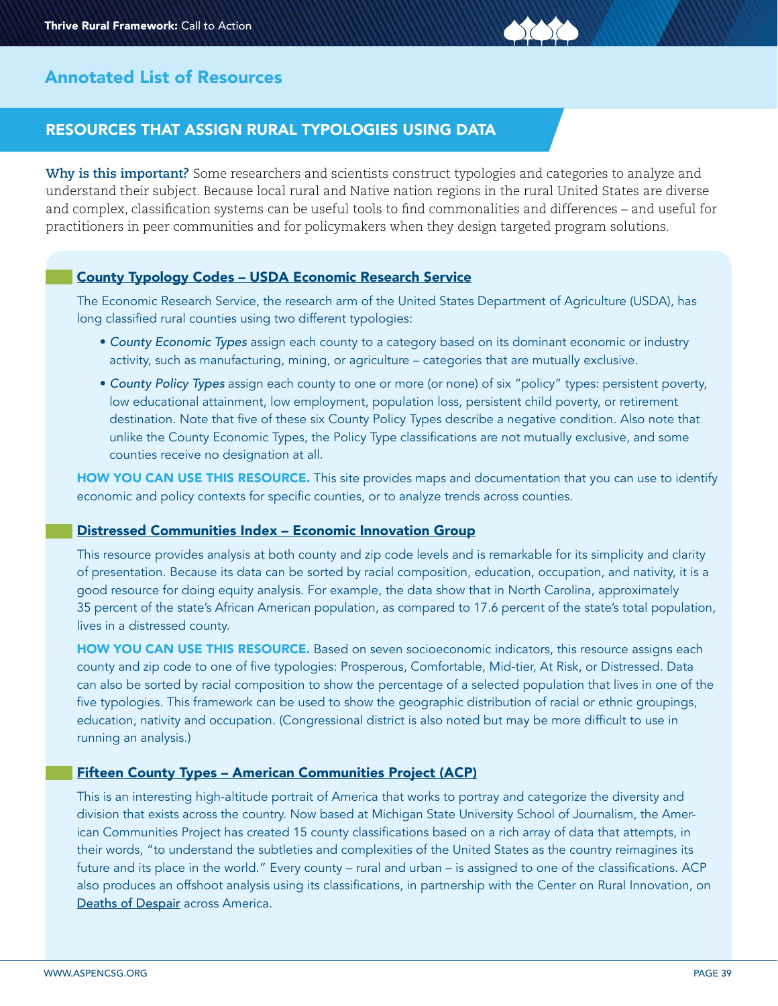

# RESOURCES THAT ASSIGN RURAL TYPOLOGIES USING DATA

**Why is this important?** Some researchers and scientists construct typologies and categories to analyze and understand their subject. Because local rural and Native nation regions in the rural United States are diverse and complex, classification systems can be useful tools to find commonalities and differences – and useful for practitioners in peer communities and for policymakers when they design targeted program solutions.

## [County Typology Codes – USDA Economic Research Service](https://www.ers.usda.gov/data-products/county-typology-codes/descriptions-and-maps/)

The Economic Research Service, the research arm of the United States Department of Agriculture (USDA), has long classified rural counties using two different typologies:

- *County Economic Types* assign each county to a category based on its dominant economic or industry activity, such as manufacturing, mining, or agriculture – categories that are mutually exclusive.
- *County Policy Types* assign each county to one or more (or none) of six "policy" types: persistent poverty, low educational attainment, low employment, population loss, persistent child poverty, or retirement destination. Note that five of these six County Policy Types describe a negative condition. Also note that unlike the County Economic Types, the Policy Type classifications are not mutually exclusive, and some counties receive no designation at all.

HOW YOU CAN USE THIS RESOURCE. This site provides maps and documentation that you can use to identify economic and policy contexts for specific counties, or to analyze trends across counties.

## [Distressed Communities Index – Economic Innovation Group](https://eig.org/dci/interactive-map)

This resource provides analysis at both county and zip code levels and is remarkable for its simplicity and clarity of presentation. Because its data can be sorted by racial composition, education, occupation, and nativity, it is a good resource for doing equity analysis. For example, the data show that in North Carolina, approximately 35 percent of the state's African American population, as compared to 17.6 percent of the state's total population, lives in a distressed county.

HOW YOU CAN USE THIS RESOURCE. Based on seven socioeconomic indicators, this resource assigns each county and zip code to one of five typologies: Prosperous, Comfortable, Mid-tier, At Risk, or Distressed. Data can also be sorted by racial composition to show the percentage of a selected population that lives in one of the five typologies. This framework can be used to show the geographic distribution of racial or ethnic groupings, education, nativity and occupation. (Congressional district is also noted but may be more difficult to use in running an analysis.)

## [Fifteen County Types – American Communities Project \(ACP\)](https://www.americancommunities.org)

This is an interesting high-altitude portrait of America that works to portray and categorize the diversity and division that exists across the country. Now based at Michigan State University School of Journalism, the American Communities Project has created 15 county classifications based on a rich array of data that attempts, in their words, "to understand the subtleties and complexities of the United States as the country reimagines its future and its place in the world." Every county – rural and urban – is assigned to one of the classifications. ACP also produces an offshoot analysis using its classifications, in partnership with the Center on Rural Innovation, on [Deaths of Despair](https://www.americancommunities.org/report/deaths-of-despair-across-america/) across America.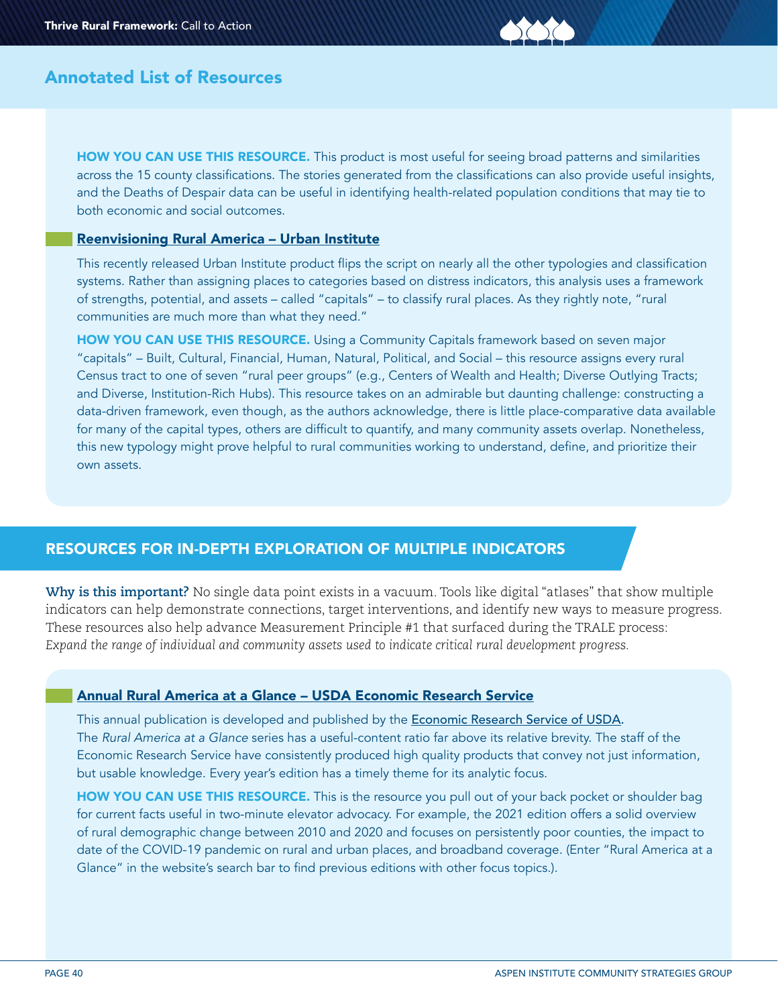HOW YOU CAN USE THIS RESOURCE. This product is most useful for seeing broad patterns and similarities across the 15 county classifications. The stories generated from the classifications can also provide useful insights, and the Deaths of Despair data can be useful in identifying health-related population conditions that may tie to both economic and social outcomes.

### [Reenvisioning Rural America – Urban Institute](https://reenvisioning-rural-america.urban.org)

This recently released Urban Institute product flips the script on nearly all the other typologies and classification systems. Rather than assigning places to categories based on distress indicators, this analysis uses a framework of strengths, potential, and assets – called "capitals" – to classify rural places. As they rightly note, "rural communities are much more than what they need."

HOW YOU CAN USE THIS RESOURCE. Using a Community Capitals framework based on seven major "capitals" – Built, Cultural, Financial, Human, Natural, Political, and Social – this resource assigns every rural Census tract to one of seven "rural peer groups" (e.g., Centers of Wealth and Health; Diverse Outlying Tracts; and Diverse, Institution-Rich Hubs). This resource takes on an admirable but daunting challenge: constructing a data-driven framework, even though, as the authors acknowledge, there is little place-comparative data available for many of the capital types, others are difficult to quantify, and many community assets overlap. Nonetheless, this new typology might prove helpful to rural communities working to understand, define, and prioritize their own assets.

## RESOURCES FOR IN-DEPTH EXPLORATION OF MULTIPLE INDICATORS

**Why is this important?** No single data point exists in a vacuum. Tools like digital "atlases" that show multiple indicators can help demonstrate connections, target interventions, and identify new ways to measure progress. These resources also help advance Measurement Principle #1 that surfaced during the TRALE process: *Expand the range of individual and community assets used to indicate critical rural development progress.* 

### [Annual Rural America at a Glance – USDA Economic Research Service](https://www.ers.usda.gov/publications/pub-details/?pubid=102575)

This annual publication is developed and published by the **Economic Research Service of USDA**. The *Rural America at a Glance* series has a useful-content ratio far above its relative brevity. The staff of the Economic Research Service have consistently produced high quality products that convey not just information, but usable knowledge. Every year's edition has a timely theme for its analytic focus.

HOW YOU CAN USE THIS RESOURCE. This is the resource you pull out of your back pocket or shoulder bag for current facts useful in two-minute elevator advocacy. For example, the 2021 edition offers a solid overview of rural demographic change between 2010 and 2020 and focuses on persistently poor counties, the impact to date of the COVID-19 pandemic on rural and urban places, and broadband coverage. (Enter "Rural America at a Glance" in the website's search bar to find previous editions with other focus topics.).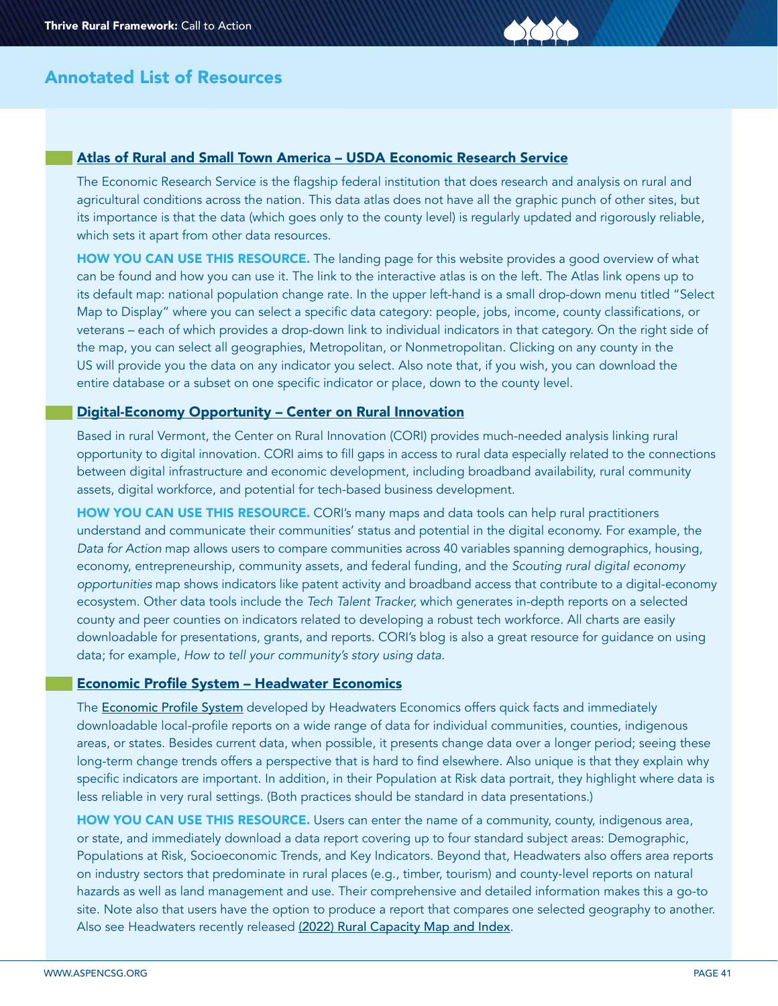

### [Atlas of Rural and Small Town America – USDA Economic Research Service](https://www.ers.usda.gov/data-products/atlas-of-rural-and-small-town-america/)

The Economic Research Service is the flagship federal institution that does research and analysis on rural and agricultural conditions across the nation. This data atlas does not have all the graphic punch of other sites, but its importance is that the data (which goes only to the county level) is regularly updated and rigorously reliable, which sets it apart from other data resources.

HOW YOU CAN USE THIS RESOURCE. The landing page for this website provides a good overview of what can be found and how you can use it. The link to the interactive atlas is on the left. The Atlas link opens up to its default map: national population change rate. In the upper left-hand is a small drop-down menu titled "Select Map to Display" where you can select a specific data category: people, jobs, income, county classifications, or veterans – each of which provides a drop-down link to individual indicators in that category. On the right side of the map, you can select all geographies, Metropolitan, or Nonmetropolitan. Clicking on any county in the US will provide you the data on any indicator you select. Also note that, if you wish, you can download the entire database or a subset on one specific indicator or place, down to the county level.

#### [Digital-Economy Opportunity – Center on Rural Innovation](https://ruralinnovation.us/our-work/data-analytics-and-mapping/)

Based in rural Vermont, the Center on Rural Innovation (CORI) provides much-needed analysis linking rural opportunity to digital innovation. CORI aims to fill gaps in access to rural data especially related to the connections between digital infrastructure and economic development, including broadband availability, rural community assets, digital workforce, and potential for tech-based business development.

HOW YOU CAN USE THIS RESOURCE. CORI's many maps and data tools can help rural practitioners understand and communicate their communities' status and potential in the digital economy. For example, the *Data for Action* map allows users to compare communities across 40 variables spanning demographics, housing, economy, entrepreneurship, community assets, and federal funding, and the *Scouting rural digital economy opportunities* map shows indicators like patent activity and broadband access that contribute to a digital-economy ecosystem. Other data tools include the *Tech Talent Tracker,* which generates in-depth reports on a selected county and peer counties on indicators related to developing a robust tech workforce. All charts are easily downloadable for presentations, grants, and reports. CORI's blog is also a great resource for guidance on using data; for example, *How to tell your community's story using data.* 

#### [Economic Profile System – Headwater Economics](https://headwaterseconomics.org/apps/economic-profile-system/)

The **[Economic Profile System](https://headwaterseconomics.org/apps/economic-profile-system/)** developed by Headwaters Economics offers quick facts and immediately downloadable local-profile reports on a wide range of data for individual communities, counties, indigenous areas, or states. Besides current data, when possible, it presents change data over a longer period; seeing these long-term change trends offers a perspective that is hard to find elsewhere. Also unique is that they explain why specific indicators are important. In addition, in their Population at Risk data portrait, they highlight where data is less reliable in very rural settings. (Both practices should be standard in data presentations.)

HOW YOU CAN USE THIS RESOURCE. Users can enter the name of a community, county, indigenous area, or state, and immediately download a data report covering up to four standard subject areas: Demographic, Populations at Risk, Socioeconomic Trends, and Key Indicators. Beyond that, Headwaters also offers area reports on industry sectors that predominate in rural places (e.g., timber, tourism) and county-level reports on natural hazards as well as land management and use. Their comprehensive and detailed information makes this a go-to site. Note also that users have the option to produce a report that compares one selected geography to another. Also see Headwaters recently released [\(2022\) Rural Capacity Map and Index](https://headwaterseconomics.org/equity/rural-capacity-map/).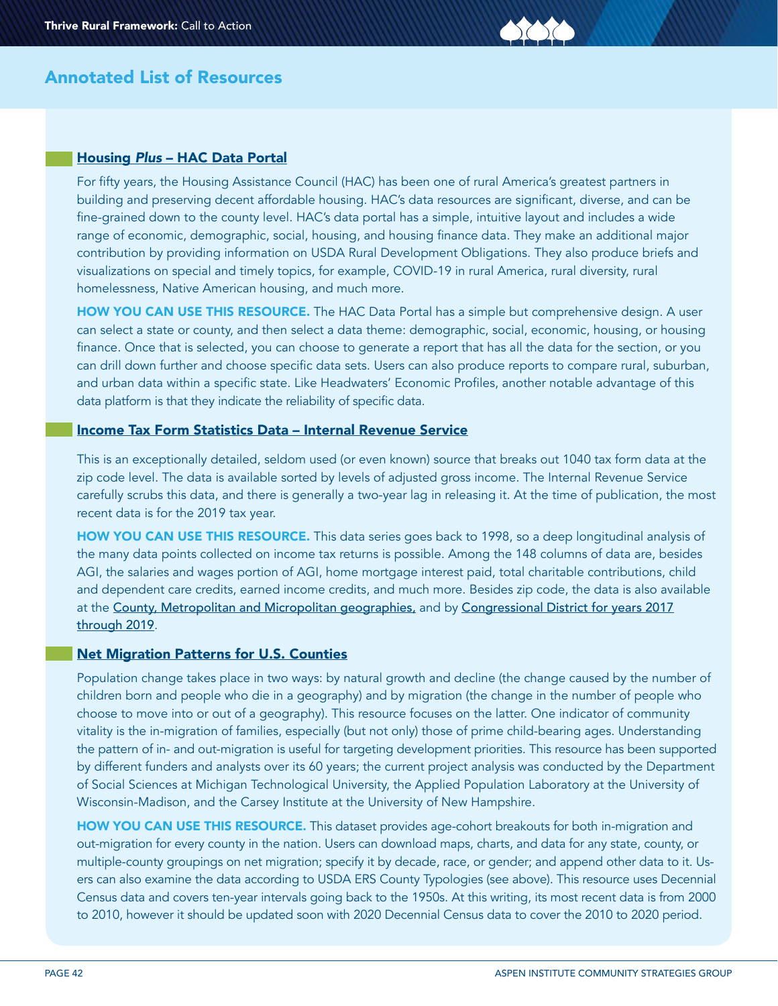### Housing *Plus* [– HAC Data Portal](https://ruraldataportal.org/index.aspx)

For fifty years, the Housing Assistance Council (HAC) has been one of rural America's greatest partners in building and preserving decent affordable housing. HAC's data resources are significant, diverse, and can be fine-grained down to the county level. HAC's data portal has a simple, intuitive layout and includes a wide range of economic, demographic, social, housing, and housing finance data. They make an additional major contribution by providing information on USDA Rural Development Obligations. They also produce briefs and visualizations on special and timely topics, for example, COVID-19 in rural America, rural diversity, rural homelessness, Native American housing, and much more.

HOW YOU CAN USE THIS RESOURCE. The HAC Data Portal has a simple but comprehensive design. A user can select a state or county, and then select a data theme: demographic, social, economic, housing, or housing finance. Once that is selected, you can choose to generate a report that has all the data for the section, or you can drill down further and choose specific data sets. Users can also produce reports to compare rural, suburban, and urban data within a specific state. Like Headwaters' Economic Profiles, another notable advantage of this data platform is that they indicate the reliability of specific data.

#### [Income Tax Form Statistics Data – Internal Revenue Service](https://www.irs.gov/statistics/soi-tax-stats-individual-income-tax-statistics-zip-code-data-soi)

This is an exceptionally detailed, seldom used (or even known) source that breaks out 1040 tax form data at the zip code level. The data is available sorted by levels of adjusted gross income. The Internal Revenue Service carefully scrubs this data, and there is generally a two-year lag in releasing it. At the time of publication, the most recent data is for the 2019 tax year.

HOW YOU CAN USE THIS RESOURCE. This data series goes back to 1998, so a deep longitudinal analysis of the many data points collected on income tax returns is possible. Among the 148 columns of data are, besides AGI, the salaries and wages portion of AGI, home mortgage interest paid, total charitable contributions, child and dependent care credits, earned income credits, and much more. Besides zip code, the data is also available at the [County, Metropolitan and Micropolitan geographies,](https://www.irs.gov/statistics/soi-tax-stats-data-by-congressional-district) and by [Congressional District for years 2017](https://www.irs.gov/statistics/soi-tax-stats-data-by-congressional-district) [through 2019](https://www.irs.gov/statistics/soi-tax-stats-data-by-congressional-district).

#### [Net Migration Patterns for U.S. Counties](https://netmigration.wisc.edu)

Population change takes place in two ways: by natural growth and decline (the change caused by the number of children born and people who die in a geography) and by migration (the change in the number of people who choose to move into or out of a geography). This resource focuses on the latter. One indicator of community vitality is the in-migration of families, especially (but not only) those of prime child-bearing ages. Understanding the pattern of in- and out-migration is useful for targeting development priorities. This resource has been supported by different funders and analysts over its 60 years; the current project analysis was conducted by the Department of Social Sciences at Michigan Technological University, the Applied Population Laboratory at the University of Wisconsin-Madison, and the Carsey Institute at the University of New Hampshire.

HOW YOU CAN USE THIS RESOURCE. This dataset provides age-cohort breakouts for both in-migration and out-migration for every county in the nation. Users can download maps, charts, and data for any state, county, or multiple-county groupings on net migration; specify it by decade, race, or gender; and append other data to it. Users can also examine the data according to USDA ERS County Typologies (see above). This resource uses Decennial Census data and covers ten-year intervals going back to the 1950s. At this writing, its most recent data is from 2000 to 2010, however it should be updated soon with 2020 Decennial Census data to cover the 2010 to 2020 period.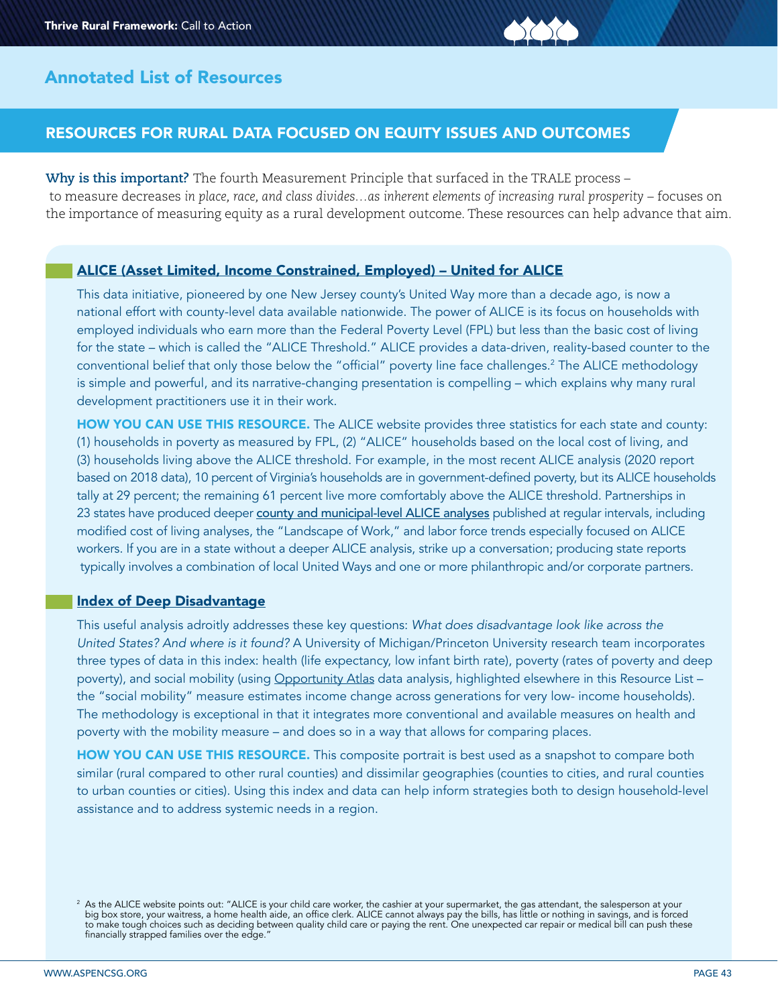# RESOURCES FOR RURAL DATA FOCUSED ON EQUITY ISSUES AND OUTCOMES

**Why is this important?** The fourth Measurement Principle that surfaced in the TRALE process – to measure decreases in place, race, and class divides...as inherent elements of increasing rural prosperity – focuses on the importance of measuring equity as a rural development outcome. These resources can help advance that aim.

## [ALICE \(Asset Limited, Income Constrained, Employed\) – United for ALICE](https://www.unitedforalice.org)

This data initiative, pioneered by one New Jersey county's United Way more than a decade ago, is now a national effort with county-level data available nationwide. The power of ALICE is its focus on households with employed individuals who earn more than the Federal Poverty Level (FPL) but less than the basic cost of living for the state – which is called the "ALICE Threshold." ALICE provides a data-driven, reality-based counter to the conventional belief that only those below the "official" poverty line face challenges.<sup>2</sup> The ALICE methodology is simple and powerful, and its narrative-changing presentation is compelling – which explains why many rural development practitioners use it in their work.

HOW YOU CAN USE THIS RESOURCE. The ALICE website provides three statistics for each state and county: (1) households in poverty as measured by FPL, (2) "ALICE" households based on the local cost of living, and (3) households living above the ALICE threshold. For example, in the most recent ALICE analysis (2020 report based on 2018 data), 10 percent of Virginia's households are in government-defined poverty, but its ALICE households tally at 29 percent; the remaining 61 percent live more comfortably above the ALICE threshold. Partnerships in 23 states have produced deeper [county and municipal-level ALICE analyses](https://www.unitedforalice.org/state-reports-mobile) published at regular intervals, including modified cost of living analyses, the "Landscape of Work," and labor force trends especially focused on ALICE workers. If you are in a state without a deeper ALICE analysis, strike up a conversation; producing state reports typically involves a combination of local United Ways and one or more philanthropic and/or corporate partners.

### [Index of Deep Disadvantage](https://poverty.umich.edu/projects/understanding-communities-of-deep-disadvantage/)

This useful analysis adroitly addresses these key questions: *What does disadvantage look like across the United States? And where is it found?* A University of Michigan/Princeton University research team incorporates three types of data in this index: health (life expectancy, low infant birth rate), poverty (rates of poverty and deep poverty), and social mobility (using [Opportunity Atlas](https://poverty.umich.edu/projects/understanding-communities-of-deep-disadvantage/) data analysis, highlighted elsewhere in this Resource List – the "social mobility" measure estimates income change across generations for very low- income households). The methodology is exceptional in that it integrates more conventional and available measures on health and poverty with the mobility measure – and does so in a way that allows for comparing places.

HOW YOU CAN USE THIS RESOURCE. This composite portrait is best used as a snapshot to compare both similar (rural compared to other rural counties) and dissimilar geographies (counties to cities, and rural counties to urban counties or cities). Using this index and data can help inform strategies both to design household-level assistance and to address systemic needs in a region.

 $^{\rm 2}$  As the ALICE website points out: "ALICE is your child care worker, the cashier at your supermarket, the gas attendant, the salesperson at your big box store, your waitress, a home health aide, an office clerk. ALICE cannot always pay the bills, has little or nothing in savings, and is forced to make tough choices such as deciding between quality child care or paying the rent. One unexpected car repair or medical bill can push these financially strapped families over the edge."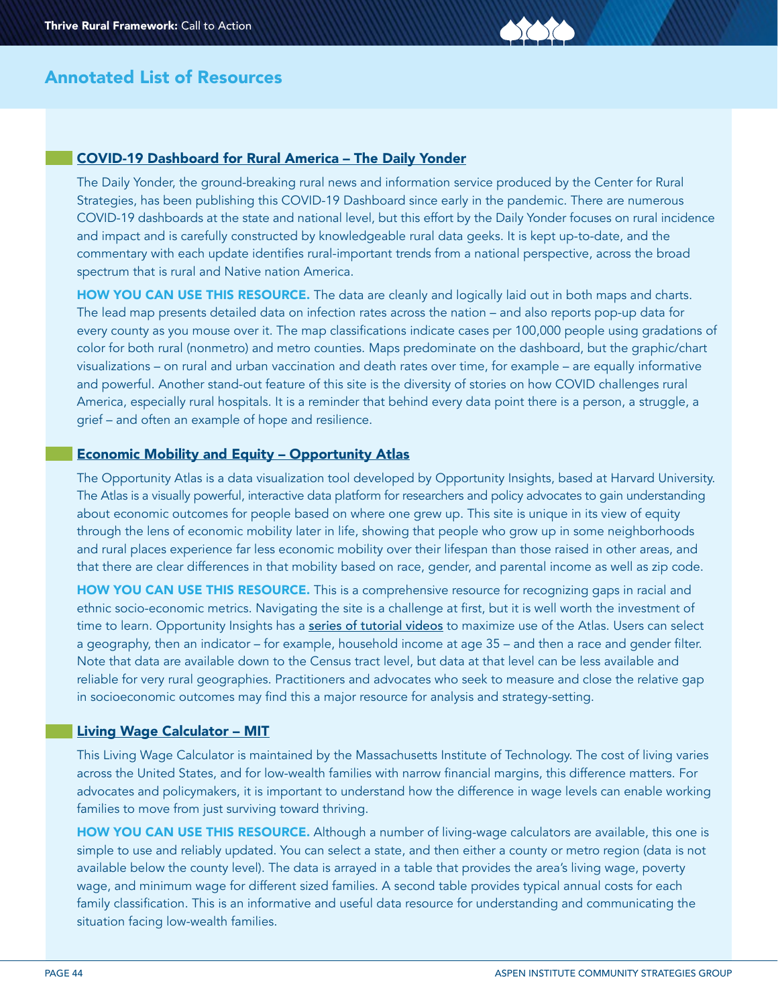#### [COVID-19 Dashboard for Rural America – The Daily Yonder](https://dailyyonder.com/covid-19-dashboard-for-rural-america/)

The Daily Yonder, the ground-breaking rural news and information service produced by the Center for Rural Strategies, has been publishing this COVID-19 Dashboard since early in the pandemic. There are numerous COVID-19 dashboards at the state and national level, but this effort by the Daily Yonder focuses on rural incidence and impact and is carefully constructed by knowledgeable rural data geeks. It is kept up-to-date, and the commentary with each update identifies rural-important trends from a national perspective, across the broad spectrum that is rural and Native nation America.

HOW YOU CAN USE THIS RESOURCE. The data are cleanly and logically laid out in both maps and charts. The lead map presents detailed data on infection rates across the nation – and also reports pop-up data for every county as you mouse over it. The map classifications indicate cases per 100,000 people using gradations of color for both rural (nonmetro) and metro counties. Maps predominate on the dashboard, but the graphic/chart visualizations – on rural and urban vaccination and death rates over time, for example – are equally informative and powerful. Another stand-out feature of this site is the diversity of stories on how COVID challenges rural America, especially rural hospitals. It is a reminder that behind every data point there is a person, a struggle, a grief – and often an example of hope and resilience.

## [Economic Mobility and Equity – Opportunity Atlas](https://www.opportunityatlas.org)

The Opportunity Atlas is a data visualization tool developed by Opportunity Insights, based at Harvard University. The Atlas is a visually powerful, interactive data platform for researchers and policy advocates to gain understanding about economic outcomes for people based on where one grew up. This site is unique in its view of equity through the lens of economic mobility later in life, showing that people who grow up in some neighborhoods and rural places experience far less economic mobility over their lifespan than those raised in other areas, and that there are clear differences in that mobility based on race, gender, and parental income as well as zip code.

HOW YOU CAN USE THIS RESOURCE. This is a comprehensive resource for recognizing gaps in racial and ethnic socio-economic metrics. Navigating the site is a challenge at first, but it is well worth the investment of time to learn. Opportunity Insights has a [series of tutorial videos](https://opportunityinsights.org/atlasresources/) to maximize use of the Atlas. Users can select a geography, then an indicator – for example, household income at age 35 – and then a race and gender filter. Note that data are available down to the Census tract level, but data at that level can be less available and reliable for very rural geographies. Practitioners and advocates who seek to measure and close the relative gap in socioeconomic outcomes may find this a major resource for analysis and strategy-setting.

#### [Living Wage Calculator – MIT](https://livingwage.mit.edu)

This Living Wage Calculator is maintained by the Massachusetts Institute of Technology. The cost of living varies across the United States, and for low-wealth families with narrow financial margins, this difference matters. For advocates and policymakers, it is important to understand how the difference in wage levels can enable working families to move from just surviving toward thriving.

HOW YOU CAN USE THIS RESOURCE. Although a number of living-wage calculators are available, this one is simple to use and reliably updated. You can select a state, and then either a county or metro region (data is not available below the county level). The data is arrayed in a table that provides the area's living wage, poverty wage, and minimum wage for different sized families. A second table provides typical annual costs for each family classification. This is an informative and useful data resource for understanding and communicating the situation facing low-wealth families.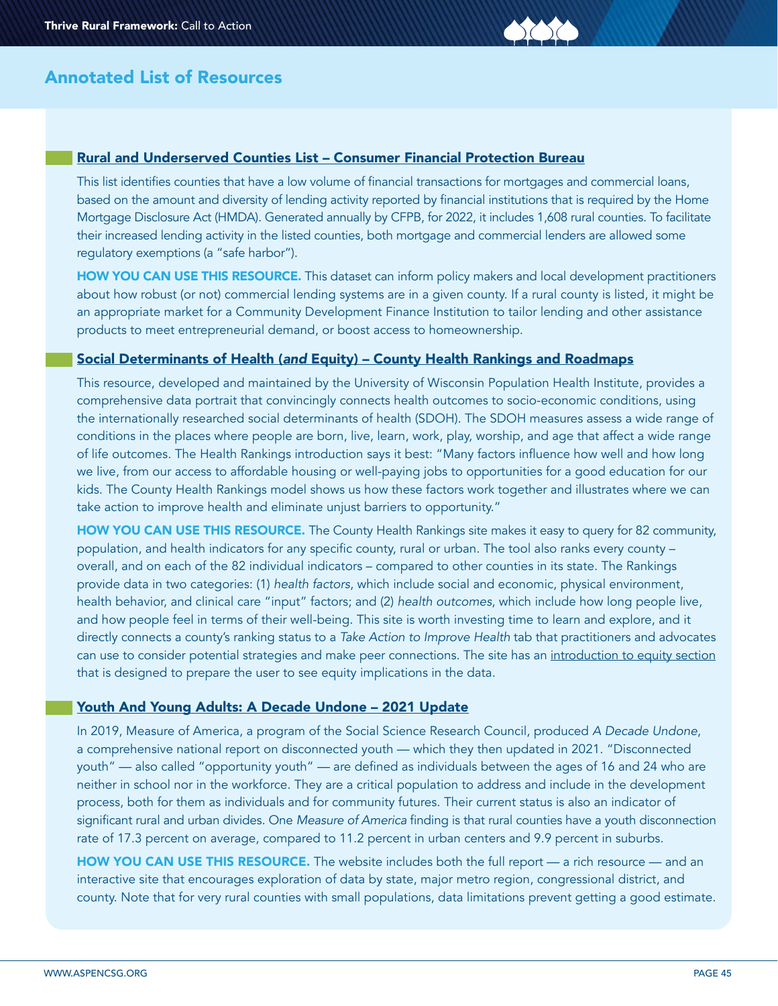

#### Rural and Underserved Counties List – Consumer Financial Protection Bureau

This list identifies counties that have a low volume of financial transactions for mortgages and commercial loans, based on the amount and diversity of lending activity reported by financial institutions that is required by the Home Mortgage Disclosure Act (HMDA). Generated annually by CFPB, for 2022, it includes 1,608 rural counties. To facilitate their increased lending activity in the listed counties, both mortgage and commercial lenders are allowed some regulatory exemptions (a "safe harbor").

HOW YOU CAN USE THIS RESOURCE. This dataset can inform policy makers and local development practitioners about how robust (or not) commercial lending systems are in a given county. If a rural county is listed, it might be an appropriate market for a Community Development Finance Institution to tailor lending and other assistance products to meet entrepreneurial demand, or boost access to homeownership.

#### Social Determinants of Health (*and* [Equity\) – County Health Rankings and Roadmaps](https://www.countyhealthrankings.org)

This resource, developed and maintained by the University of Wisconsin Population Health Institute, provides a comprehensive data portrait that convincingly connects health outcomes to socio-economic conditions, using the internationally researched social determinants of health (SDOH). The SDOH measures assess a wide range of conditions in the places where people are born, live, learn, work, play, worship, and age that affect a wide range of life outcomes. The Health Rankings introduction says it best: "Many factors influence how well and how long we live, from our access to affordable housing or well-paying jobs to opportunities for a good education for our kids. The County Health Rankings model shows us how these factors work together and illustrates where we can take action to improve health and eliminate unjust barriers to opportunity."

HOW YOU CAN USE THIS RESOURCE. The County Health Rankings site makes it easy to query for 82 community, population, and health indicators for any specific county, rural or urban. The tool also ranks every county – overall, and on each of the 82 individual indicators – compared to other counties in its state. The Rankings provide data in two categories: (1) *health factors*, which include social and economic, physical environment, health behavior, and clinical care "input" factors; and (2) *health outcomes*, which include how long people live, and how people feel in terms of their well-being. This site is worth investing time to learn and explore, and it directly connects a county's ranking status to a *Take Action to Improve Health* tab that practitioners and advocates can use to consider potential strategies and make peer connections. The site has an [introduction to equity section](https://www.countyhealthrankings.org/take-action-to-improve-health/learning-guides/introduction-to-equity#/) that is designed to prepare the user to see equity implications in the data.

#### [Youth And Young Adults: A Decade Undone – 2021 Update](https://measureofamerica.org/youth-disconnection-2021/)

In 2019, Measure of America, a program of the Social Science Research Council, produced *A Decade Undone*, a comprehensive national report on disconnected youth — which they then updated in 2021. "Disconnected youth" — also called "opportunity youth" — are defined as individuals between the ages of 16 and 24 who are neither in school nor in the workforce. They are a critical population to address and include in the development process, both for them as individuals and for community futures. Their current status is also an indicator of significant rural and urban divides. One *Measure of America* finding is that rural counties have a youth disconnection rate of 17.3 percent on average, compared to 11.2 percent in urban centers and 9.9 percent in suburbs.

HOW YOU CAN USE THIS RESOURCE. The website includes both the full report — a rich resource — and an interactive site that encourages exploration of data by state, major metro region, congressional district, and county. Note that for very rural counties with small populations, data limitations prevent getting a good estimate.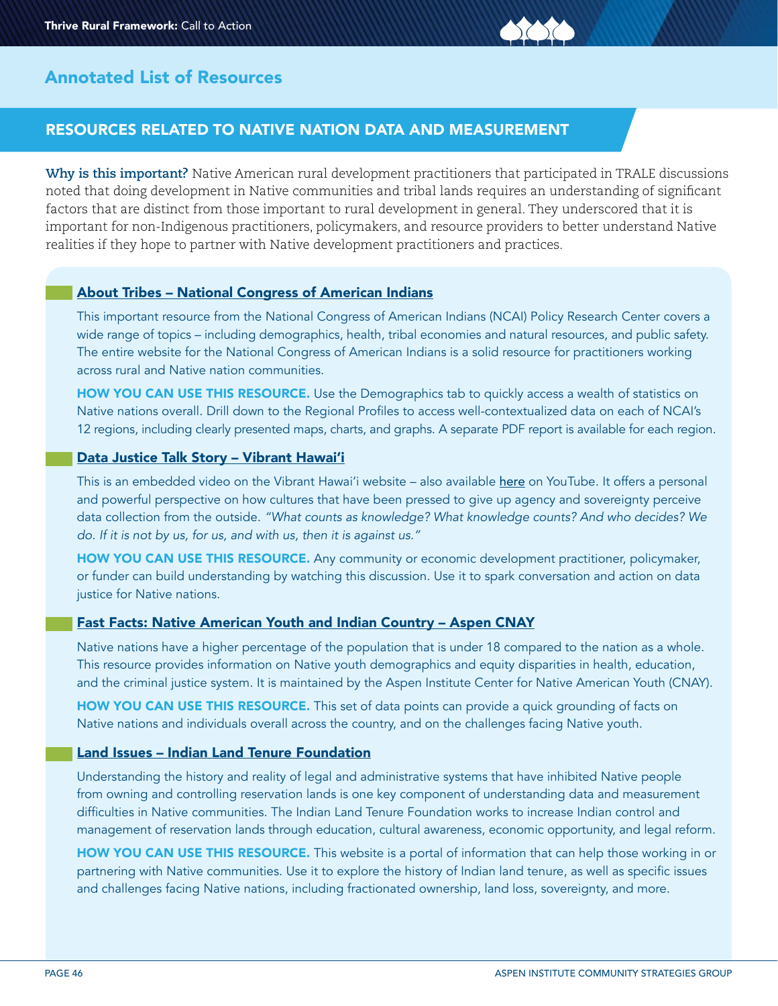# RESOURCES RELATED TO NATIVE NATION DATA AND MEASUREMENT

**Why is this important?** Native American rural development practitioners that participated in TRALE discussions noted that doing development in Native communities and tribal lands requires an understanding of significant factors that are distinct from those important to rural development in general. They underscored that it is important for non-Indigenous practitioners, policymakers, and resource providers to better understand Native realities if they hope to partner with Native development practitioners and practices.

#### [About Tribes – National Congress of American Indians](https://www.ncai.org/about-tribes)

This important resource from the National Congress of American Indians (NCAI) Policy Research Center covers a wide range of topics – including demographics, health, tribal economies and natural resources, and public safety. The entire website for the National Congress of American Indians is a solid resource for practitioners working across rural and Native nation communities.

HOW YOU CAN USE THIS RESOURCE. Use the Demographics tab to quickly access a wealth of statistics on Native nations overall. Drill down to the Regional Profiles to access well-contextualized data on each of NCAI's 12 regions, including clearly presented maps, charts, and graphs. A separate PDF report is available for each region.

#### [Data Justice Talk Story – Vibrant Hawai'i](https://www.vibranthawaii.org/post/videos-we-love)

This is an embedded video on the Vibrant Hawai'i website – also available [here](https://www.youtube.com/watch?v=aTveKUXYqIw&t=1900s) on YouTube. It offers a personal and powerful perspective on how cultures that have been pressed to give up agency and sovereignty perceive data collection from the outside. *"What counts as knowledge? What knowledge counts? And who decides? We do. If it is not by us, for us, and with us, then it is against us."*

HOW YOU CAN USE THIS RESOURCE. Any community or economic development practitioner, policymaker, or funder can build understanding by watching this discussion. Use it to spark conversation and action on data justice for Native nations.

#### [Fast Facts: Native American Youth and Indian Country – Aspen CNAY](https://www.cnay.org/resource-hub/fast-facts/)

Native nations have a higher percentage of the population that is under 18 compared to the nation as a whole. This resource provides information on Native youth demographics and equity disparities in health, education, and the criminal justice system. It is maintained by the Aspen Institute Center for Native American Youth (CNAY).

HOW YOU CAN USE THIS RESOURCE. This set of data points can provide a quick grounding of facts on Native nations and individuals overall across the country, and on the challenges facing Native youth.

## [Land Issues – Indian Land Tenure Foundation](https://iltf.org/land-issues/)

Understanding the history and reality of legal and administrative systems that have inhibited Native people from owning and controlling reservation lands is one key component of understanding data and measurement difficulties in Native communities. The Indian Land Tenure Foundation works to increase Indian control and management of reservation lands through education, cultural awareness, economic opportunity, and legal reform.

HOW YOU CAN USE THIS RESOURCE. This website is a portal of information that can help those working in or partnering with Native communities. Use it to explore the history of Indian land tenure, as well as specific issues and challenges facing Native nations, including fractionated ownership, land loss, sovereignty, and more.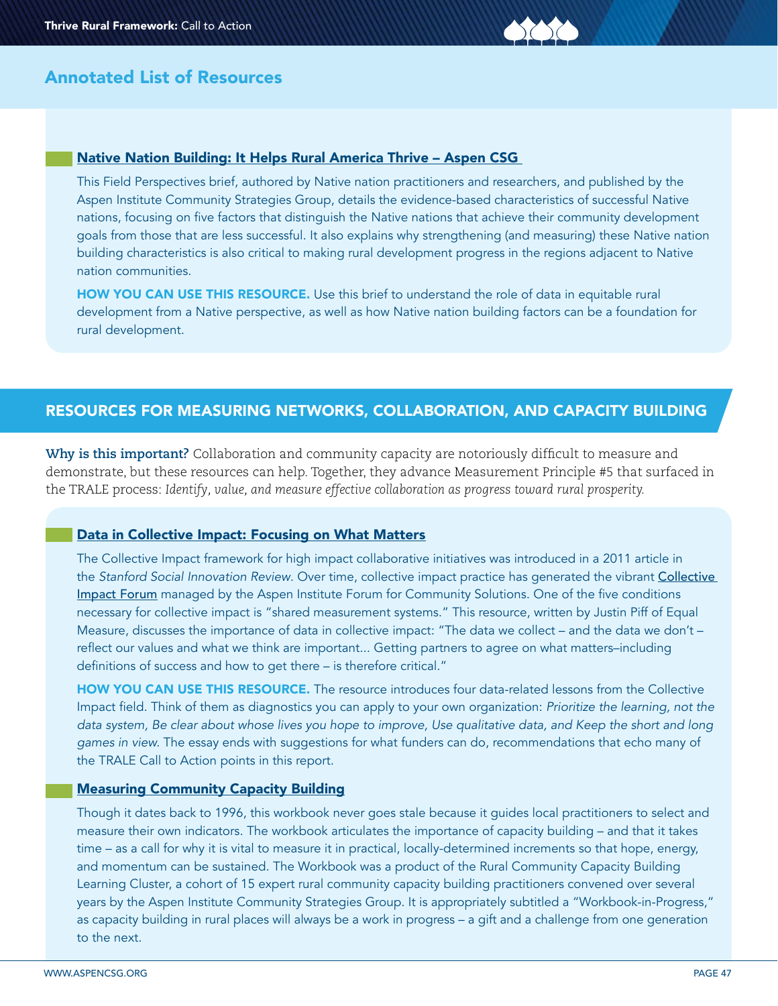

#### [Native Nation Building: It Helps Rural America Thrive – Aspen CSG](https://www.aspeninstitute.org/publications/native-nation-building-it-helps-rural-america-thrive/)

This Field Perspectives brief, authored by Native nation practitioners and researchers, and published by the Aspen Institute Community Strategies Group, details the evidence-based characteristics of successful Native nations, focusing on five factors that distinguish the Native nations that achieve their community development goals from those that are less successful. It also explains why strengthening (and measuring) these Native nation building characteristics is also critical to making rural development progress in the regions adjacent to Native nation communities.

HOW YOU CAN USE THIS RESOURCE. Use this brief to understand the role of data in equitable rural development from a Native perspective, as well as how Native nation building factors can be a foundation for rural development.

# RESOURCES FOR MEASURING NETWORKS, COLLABORATION, AND CAPACITY BUILDING

**Why is this important?** Collaboration and community capacity are notoriously difficult to measure and demonstrate, but these resources can help. Together, they advance Measurement Principle #5 that surfaced in the TRALE process: *Identify, value, and measure effective collaboration as progress toward rural prosperity.* 

#### [Data in Collective Impact: Focusing on What Matters](https://ssir.org/articles/entry/data_in_collective_impact_focusing_on_what_matters?utm_source=newsletter&utm_medium=email&utm_content=%20Data%20in%20Collective%20Impact%3A%20Focusing%20on%20What%20Matters%20&utm_campaign=CIF20220128OYFSSIR)

The Collective Impact framework for high impact collaborative initiatives was introduced in a 2011 article in the *Stanford Social Innovation Review*. Over time, collective impact practice has generated the vibrant [Collective](https://www.collectiveimpactforum.org)  [Impact Forum](https://www.collectiveimpactforum.org) managed by the Aspen Institute Forum for Community Solutions. One of the five conditions necessary for collective impact is "shared measurement systems." This resource, written by Justin Piff of Equal Measure, discusses the importance of data in collective impact: "The data we collect – and the data we don't – reflect our values and what we think are important... Getting partners to agree on what matters–including definitions of success and how to get there – is therefore critical."

HOW YOU CAN USE THIS RESOURCE. The resource introduces four data-related lessons from the Collective Impact field. Think of them as diagnostics you can apply to your own organization: *Prioritize the learning, not the data system, Be clear about whose lives you hope to improve, Use qualitative data, and Keep the short and long games in view.* The essay ends with suggestions for what funders can do, recommendations that echo many of the TRALE Call to Action points in this report.

### [Measuring Community Capacity Building](https://www.aspeninstitute.org/wp-content/uploads/files/content/docs/csg/Measuring_Community_Capactiy_Building.pdf)

Though it dates back to 1996, this workbook never goes stale because it guides local practitioners to select and measure their own indicators. The workbook articulates the importance of capacity building – and that it takes time – as a call for why it is vital to measure it in practical, locally-determined increments so that hope, energy, and momentum can be sustained. The Workbook was a product of the Rural Community Capacity Building Learning Cluster, a cohort of 15 expert rural community capacity building practitioners convened over several years by the Aspen Institute Community Strategies Group. It is appropriately subtitled a "Workbook-in-Progress," as capacity building in rural places will always be a work in progress – a gift and a challenge from one generation to the next.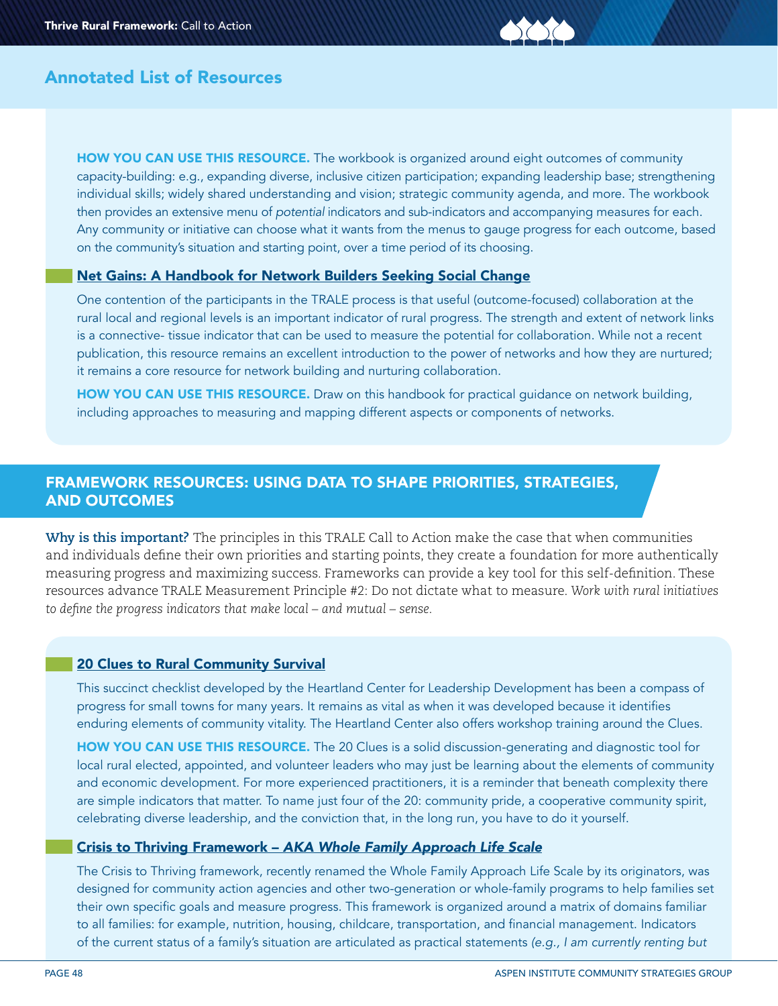HOW YOU CAN USE THIS RESOURCE. The workbook is organized around eight outcomes of community capacity-building: e.g., expanding diverse, inclusive citizen participation; expanding leadership base; strengthening individual skills; widely shared understanding and vision; strategic community agenda, and more. The workbook then provides an extensive menu of *potential* indicators and sub-indicators and accompanying measures for each. Any community or initiative can choose what it wants from the menus to gauge progress for each outcome, based on the community's situation and starting point, over a time period of its choosing.

## [Net Gains: A Handbook for Network Builders Seeking Social Change](https://www.networkimpact.org/net-gains-a-handbook-for-network-builders-seeking-social-change/)

One contention of the participants in the TRALE process is that useful (outcome-focused) collaboration at the rural local and regional levels is an important indicator of rural progress. The strength and extent of network links is a connective- tissue indicator that can be used to measure the potential for collaboration. While not a recent publication, this resource remains an excellent introduction to the power of networks and how they are nurtured; it remains a core resource for network building and nurturing collaboration.

HOW YOU CAN USE THIS RESOURCE. Draw on this handbook for practical quidance on network building, including approaches to measuring and mapping different aspects or components of networks.

# FRAMEWORK RESOURCES: USING DATA TO SHAPE PRIORITIES, STRATEGIES, AND OUTCOMES

**Why is this important?** The principles in this TRALE Call to Action make the case that when communities and individuals define their own priorities and starting points, they create a foundation for more authentically measuring progress and maximizing success. Frameworks can provide a key tool for this self-definition. These resources advance TRALE Measurement Principle #2: Do not dictate what to measure. *Work with rural initiatives to define the progress indicators that make local – and mutual – sense.*

#### [20 Clues to Rural Community Survival](https://heartlandcenter.info/clues-to-rural-community-survival/)

This succinct checklist developed by the Heartland Center for Leadership Development has been a compass of progress for small towns for many years. It remains as vital as when it was developed because it identifies enduring elements of community vitality. The Heartland Center also offers workshop training around the Clues.

HOW YOU CAN USE THIS RESOURCE. The 20 Clues is a solid discussion-generating and diagnostic tool for local rural elected, appointed, and volunteer leaders who may just be learning about the elements of community and economic development. For more experienced practitioners, it is a reminder that beneath complexity there are simple indicators that matter. To name just four of the 20: community pride, a cooperative community spirit, celebrating diverse leadership, and the conviction that, in the long run, you have to do it yourself.

#### Crisis to Thriving Framework – *[AKA Whole Family Approach Life Scale](https://www.aspeninstitute.org/wp-content/uploads/2022/05/Life_Scale_5.19.20.pdf )*

The Crisis to Thriving framework, recently renamed the Whole Family Approach Life Scale by its originators, was designed for community action agencies and other two-generation or whole-family programs to help families set their own specific goals and measure progress. This framework is organized around a matrix of domains familiar to all families: for example, nutrition, housing, childcare, transportation, and financial management. Indicators of the current status of a family's situation are articulated as practical statements *(e.g., I am currently renting but*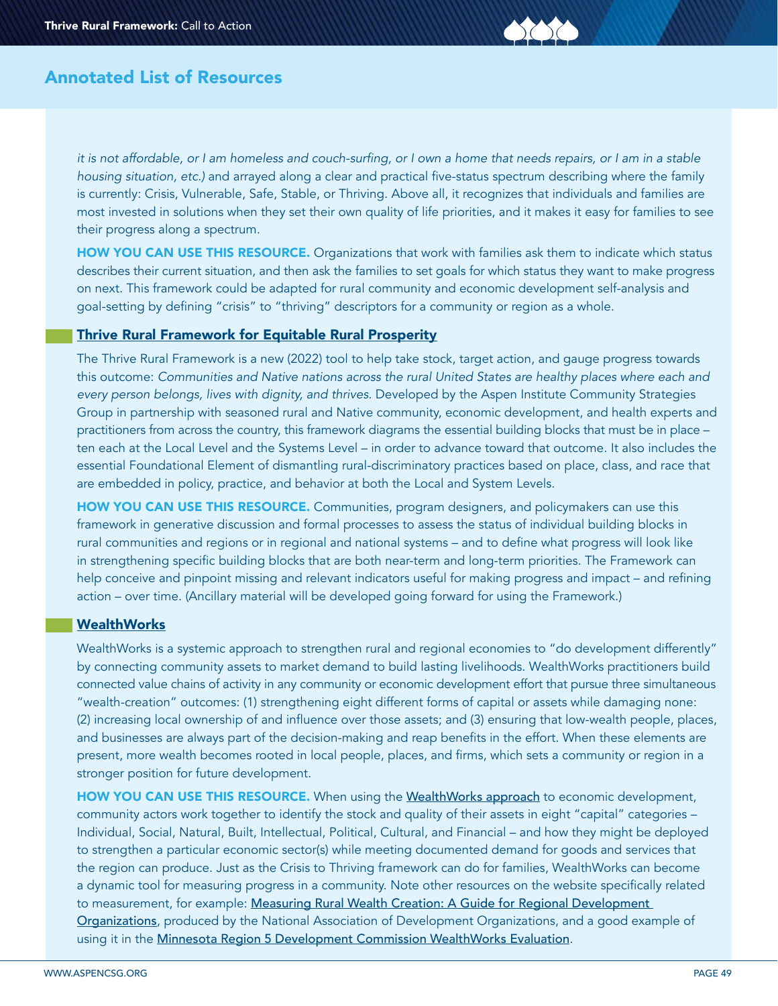it is not affordable, or I am homeless and couch-surfing, or I own a home that needs repairs, or I am in a stable *housing situation, etc.)* and arrayed along a clear and practical five-status spectrum describing where the family is currently: Crisis, Vulnerable, Safe, Stable, or Thriving. Above all, it recognizes that individuals and families are most invested in solutions when they set their own quality of life priorities, and it makes it easy for families to see their progress along a spectrum.

HOW YOU CAN USE THIS RESOURCE. Organizations that work with families ask them to indicate which status describes their current situation, and then ask the families to set goals for which status they want to make progress on next. This framework could be adapted for rural community and economic development self-analysis and goal-setting by defining "crisis" to "thriving" descriptors for a community or region as a whole.

### [Thrive Rural Framework for Equitable Rural Prosperity](http://www.thriverural.org)

The Thrive Rural Framework is a new (2022) tool to help take stock, target action, and gauge progress towards this outcome: *Communities and Native nations across the rural United States are healthy places where each and every person belongs, lives with dignity, and thrives.* Developed by the Aspen Institute Community Strategies Group in partnership with seasoned rural and Native community, economic development, and health experts and practitioners from across the country, this framework diagrams the essential building blocks that must be in place – ten each at the Local Level and the Systems Level – in order to advance toward that outcome. It also includes the essential Foundational Element of dismantling rural-discriminatory practices based on place, class, and race that are embedded in policy, practice, and behavior at both the Local and System Levels.

HOW YOU CAN USE THIS RESOURCE. Communities, program designers, and policymakers can use this framework in generative discussion and formal processes to assess the status of individual building blocks in rural communities and regions or in regional and national systems – and to define what progress will look like in strengthening specific building blocks that are both near-term and long-term priorities. The Framework can help conceive and pinpoint missing and relevant indicators useful for making progress and impact – and refining action – over time. (Ancillary material will be developed going forward for using the Framework.)

## **[WealthWorks](https://www.wealthworks.org)**

WealthWorks is a systemic approach to strengthen rural and regional economies to "do development differently" by connecting community assets to market demand to build lasting livelihoods. WealthWorks practitioners build connected value chains of activity in any community or economic development effort that pursue three simultaneous "wealth-creation" outcomes: (1) strengthening eight different forms of capital or assets while damaging none: (2) increasing local ownership of and influence over those assets; and (3) ensuring that low-wealth people, places, and businesses are always part of the decision-making and reap benefits in the effort. When these elements are present, more wealth becomes rooted in local people, places, and firms, which sets a community or region in a stronger position for future development.

HOW YOU CAN USE THIS RESOURCE. When using the [WealthWorks approach](https://www.wealthworks.org/basics/wealthworks-your-region-introduction) to economic development, community actors work together to identify the stock and quality of their assets in eight "capital" categories – Individual, Social, Natural, Built, Intellectual, Political, Cultural, and Financial – and how they might be deployed to strengthen a particular economic sector(s) while meeting documented demand for goods and services that the region can produce. Just as the Crisis to Thriving framework can do for families, WealthWorks can become a dynamic tool for measuring progress in a community. Note other resources on the website specifically related to measurement, for example: Measuring Rural Wealth Creation: A Guide for Regional Development [Organizations](https://www.wealthworks.org/economic-development-resources/how-tos), produced by the National Association of Development Organizations, and a good example of using it in the [Minnesota Region 5 Development Commission WealthWorks Evaluation](https://73358e83-ee2e-4e76-ae37-e8bc40a09fba.filesusr.com/ugd/f30eae_9652b4f49b7449a1a76b7c8906038577.pdf).